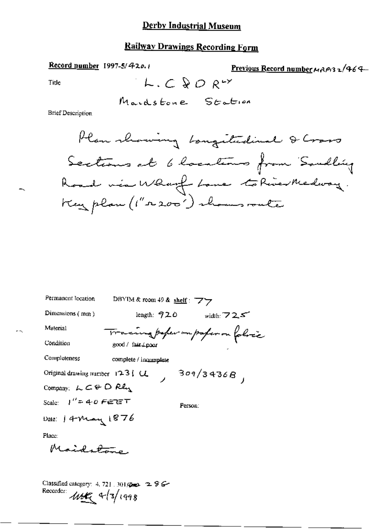### **Railway Drawings Recording Form**

Record number 1997-5/420.1

Previous Record number MAP13 2/464

Title

Mardstone Station

 $L.C. QO. RY$ 

**Brief Description** 

Plan showing boughtedie & Cross Sections at 6 locations from Soudling Road via Whanf Love to River Medway. Keyplan (1"2200") shows route

| Permanent location                                                                                                                                  | DBYIM & room 49 & shelf: $77$ |                                  |
|-----------------------------------------------------------------------------------------------------------------------------------------------------|-------------------------------|----------------------------------|
| Dimensions $(mn)$                                                                                                                                   | length: 920                   | width: $725$                     |
| Material                                                                                                                                            |                               | Tracing poper on poper on folice |
| Condition                                                                                                                                           | good / fair / poor            |                                  |
| Completeness                                                                                                                                        | complete / incomplete         |                                  |
| Original drawing number $123$ $\downarrow$ $\downarrow$                                                                                             |                               | 309/3936B                        |
| Company: $L \subset \Theta$ $R_{\mathcal{A}}$                                                                                                       |                               |                                  |
| Scale: リ″ニチの <i>F∈</i> Г∈T                                                                                                                          |                               | Person:                          |
| Dale: 14 May 1876                                                                                                                                   |                               |                                  |
| Place:                                                                                                                                              |                               |                                  |
| Maiditors                                                                                                                                           |                               |                                  |
|                                                                                                                                                     |                               |                                  |
| Classified category: 4, 721, 301, $\mathbb{Z} \oplus \mathbb{Z}$ $\mathbb{Z}$ $\mathbb{Z}$ $\mathbb{Z}$ $\mathbb{Z}$<br>Recorder:<br>$414$ + 3/1998 |                               |                                  |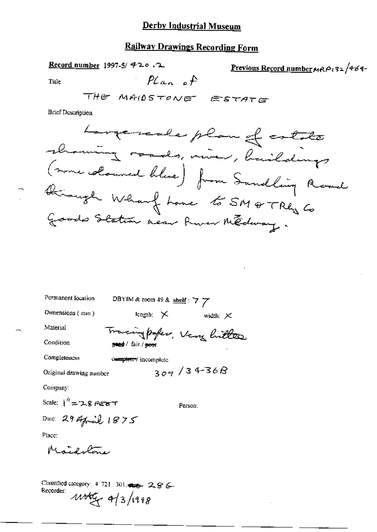# **Railway Drawings Recording Form**

Record number 1997-5/ 420.2

Previous Record number 
$$
MRP
$$
<sub>132</sub>  $464$ 

Title

 $Plan$  of

**Brief Description** 

| Permanent location                                                                                 | DBYIM & room 49 & shelf: $7\frac{1}{2}$ |  |           |                 |  |
|----------------------------------------------------------------------------------------------------|-----------------------------------------|--|-----------|-----------------|--|
| Dimensions (mm)                                                                                    | length: $\times$                        |  |           | width: $\times$ |  |
| Material                                                                                           | Tracing paper, Very hitter              |  |           |                 |  |
| Condition                                                                                          | gand / fair / geor                      |  |           |                 |  |
| Completeness                                                                                       | completey incomplete                    |  |           |                 |  |
| Original drawing number                                                                            |                                         |  | 309/3436B |                 |  |
| Company:                                                                                           |                                         |  |           |                 |  |
| Scale: $1'' = 7.8$ General T                                                                       |                                         |  | Person:   |                 |  |
| Date: $29$ April $1875$                                                                            |                                         |  |           |                 |  |
| Place:                                                                                             |                                         |  |           |                 |  |
| Maidulone                                                                                          |                                         |  |           |                 |  |
|                                                                                                    |                                         |  |           |                 |  |
| Classified category: $4.721 \cdot 301$ , $\Longleftrightarrow -2, 8$ $\longleftarrow$<br>Recorder: | 443/198                                 |  |           |                 |  |
|                                                                                                    |                                         |  |           |                 |  |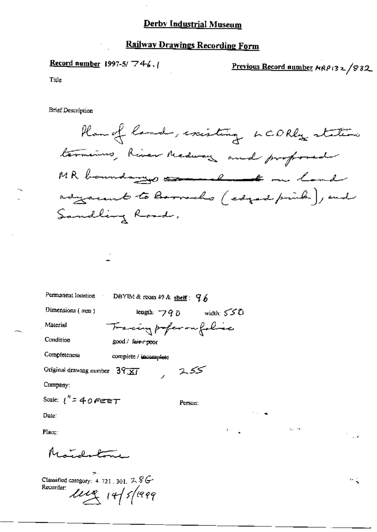#### **Railway Drawings Recording Form**

<u>Record number</u> 1997-5/  $746.1$ 

Previous Record number  $MRP(32/832)$ 

мţ

Title

**Brief Description** 

Plan of land, existing LCDRly station termines, River Medway and proformed MR boundary commel to on land adyacent to Barrocho (edged prink), end Sandling Road,

Permanent location

DBYIM & room 49 & shelf:  $96$ 

Dimensions (mm)

length:  $790$  width:  $550$ Tracing profer on folia

Condition

Material

Completeness

complete / incomplete

good / fair / poor

Original drawing number  $39\overline{31}$ 

Company:

Scale:  $1'' = 40$  Feb T

Person:

محکوبژ

Date:

Place:

 $M_{\rm{max}}$ 

Classified category: 4, 721, 301,  $2.8G$ Recorder:  $\mu$ erg 14/5/1999